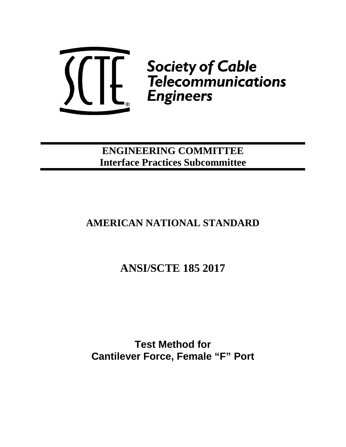

**ENGINEERING COMMITTEE Interface Practices Subcommittee**

## **AMERICAN NATIONAL STANDARD**

## **ANSI/SCTE 185 2017**

**Test Method for Cantilever Force, Female "F" Port**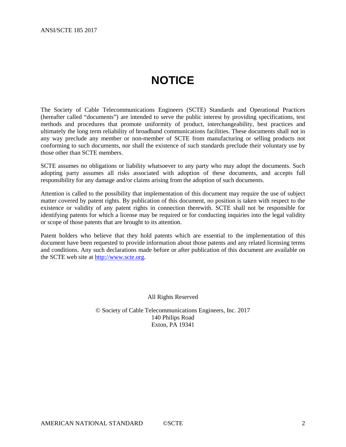## **NOTICE**

<span id="page-1-0"></span>The Society of Cable Telecommunications Engineers (SCTE) Standards and Operational Practices (hereafter called "documents") are intended to serve the public interest by providing specifications, test methods and procedures that promote uniformity of product, interchangeability, best practices and ultimately the long term reliability of broadband communications facilities. These documents shall not in any way preclude any member or non-member of SCTE from manufacturing or selling products not conforming to such documents, nor shall the existence of such standards preclude their voluntary use by those other than SCTE members.

SCTE assumes no obligations or liability whatsoever to any party who may adopt the documents. Such adopting party assumes all risks associated with adoption of these documents, and accepts full responsibility for any damage and/or claims arising from the adoption of such documents.

Attention is called to the possibility that implementation of this document may require the use of subject matter covered by patent rights. By publication of this document, no position is taken with respect to the existence or validity of any patent rights in connection therewith. SCTE shall not be responsible for identifying patents for which a license may be required or for conducting inquiries into the legal validity or scope of those patents that are brought to its attention.

Patent holders who believe that they hold patents which are essential to the implementation of this document have been requested to provide information about those patents and any related licensing terms and conditions. Any such declarations made before or after publication of this document are available on the SCTE web site at [http://www.scte.org.](http://www.scte.org/)

All Rights Reserved

© Society of Cable Telecommunications Engineers, Inc. 2017 140 Philips Road Exton, PA 19341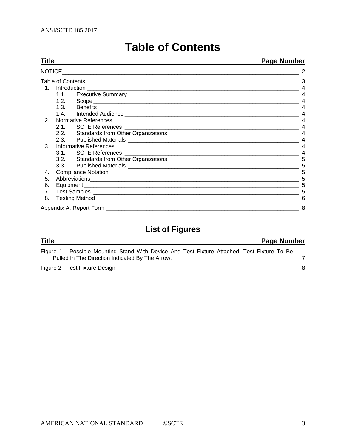<span id="page-2-0"></span>

| Title | <b>Page Number</b> |                                                                                                                                                                                                                                    |   |  |  |  |  |
|-------|--------------------|------------------------------------------------------------------------------------------------------------------------------------------------------------------------------------------------------------------------------------|---|--|--|--|--|
|       |                    |                                                                                                                                                                                                                                    |   |  |  |  |  |
|       |                    | Table of Contents <b>contents</b> and contents and content of the set of the set of the set of the set of the set of the set of the set of the set of the set of the set of the set of the set of the set of the set of the set of | 3 |  |  |  |  |
|       |                    |                                                                                                                                                                                                                                    |   |  |  |  |  |
|       | 1.1.               |                                                                                                                                                                                                                                    |   |  |  |  |  |
|       | 1.2.               |                                                                                                                                                                                                                                    |   |  |  |  |  |
|       | 1.3.               |                                                                                                                                                                                                                                    |   |  |  |  |  |
|       | 1.4.               |                                                                                                                                                                                                                                    |   |  |  |  |  |
| 2.    |                    |                                                                                                                                                                                                                                    |   |  |  |  |  |
|       | 2.1                |                                                                                                                                                                                                                                    |   |  |  |  |  |
|       |                    |                                                                                                                                                                                                                                    |   |  |  |  |  |
|       | 2.3.               |                                                                                                                                                                                                                                    |   |  |  |  |  |
| 3.    |                    |                                                                                                                                                                                                                                    |   |  |  |  |  |
|       | $3.1_{-}$          |                                                                                                                                                                                                                                    |   |  |  |  |  |
|       | 3.2.               |                                                                                                                                                                                                                                    |   |  |  |  |  |
|       | 3.3.               |                                                                                                                                                                                                                                    | 5 |  |  |  |  |
| 4.    |                    |                                                                                                                                                                                                                                    |   |  |  |  |  |
| 5.    |                    |                                                                                                                                                                                                                                    |   |  |  |  |  |
| 6.    |                    |                                                                                                                                                                                                                                    |   |  |  |  |  |
| 7.    |                    |                                                                                                                                                                                                                                    |   |  |  |  |  |
| 8.    |                    |                                                                                                                                                                                                                                    |   |  |  |  |  |
|       |                    | Appendix A: Report Form _____________                                                                                                                                                                                              | 8 |  |  |  |  |

## **Table of Contents**

## **List of Figures**

## **Title Page Number**

Figure 1 - [Possible Mounting Stand With Device And Test Fixture Attached. Test Fixture To Be](#page-6-0)  [Pulled In The Direction Indicated By The Arrow.](#page-6-0) 7 Figure 2 - [Test Fixture Design](#page-7-1) 8 8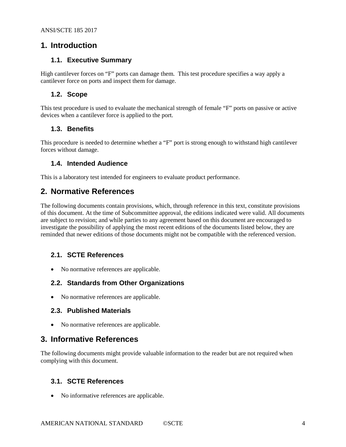#### <span id="page-3-1"></span><span id="page-3-0"></span>**1. Introduction**

#### **1.1. Executive Summary**

High cantilever forces on "F" ports can damage them. This test procedure specifies a way apply a cantilever force on ports and inspect them for damage.

#### <span id="page-3-2"></span>**1.2. Scope**

This test procedure is used to evaluate the mechanical strength of female "F" ports on passive or active devices when a cantilever force is applied to the port.

#### <span id="page-3-3"></span>**1.3. Benefits**

<span id="page-3-4"></span>This procedure is needed to determine whether a "F" port is strong enough to withstand high cantilever forces without damage.

#### **1.4. Intended Audience**

<span id="page-3-5"></span>This is a laboratory test intended for engineers to evaluate product performance.

### **2. Normative References**

The following documents contain provisions, which, through reference in this text, constitute provisions of this document. At the time of Subcommittee approval, the editions indicated were valid. All documents are subject to revision; and while parties to any agreement based on this document are encouraged to investigate the possibility of applying the most recent editions of the documents listed below, they are reminded that newer editions of those documents might not be compatible with the referenced version.

#### <span id="page-3-6"></span>**2.1. SCTE References**

• No normative references are applicable.

#### <span id="page-3-7"></span>**2.2. Standards from Other Organizations**

<span id="page-3-8"></span>• No normative references are applicable.

#### **2.3. Published Materials**

• No normative references are applicable.

#### <span id="page-3-9"></span>**3. Informative References**

The following documents might provide valuable information to the reader but are not required when complying with this document.

#### <span id="page-3-10"></span>**3.1. SCTE References**

• No informative references are applicable.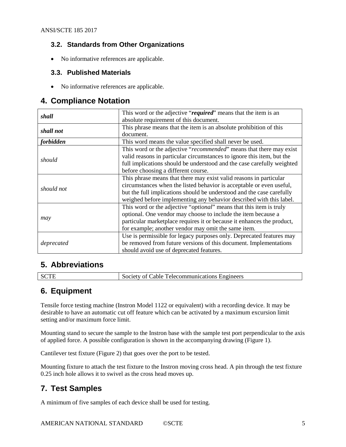#### <span id="page-4-0"></span>**3.2. Standards from Other Organizations**

<span id="page-4-1"></span>• No informative references are applicable.

#### **3.3. Published Materials**

• No informative references are applicable.

#### <span id="page-4-2"></span>**4. Compliance Notation**

| shall      | This word or the adjective "required" means that the item is an              |
|------------|------------------------------------------------------------------------------|
|            | absolute requirement of this document.                                       |
| shall not  | This phrase means that the item is an absolute prohibition of this           |
|            | document.                                                                    |
| forbidden  | This word means the value specified shall never be used.                     |
|            | This word or the adjective "recommended" means that there may exist          |
|            | valid reasons in particular circumstances to ignore this item, but the       |
| should     | full implications should be understood and the case carefully weighted       |
|            | before choosing a different course.                                          |
|            | This phrase means that there may exist valid reasons in particular           |
| should not | circumstances when the listed behavior is acceptable or even useful,         |
|            | but the full implications should be understood and the case carefully        |
|            | weighed before implementing any behavior described with this label.          |
|            | This word or the adjective " <i>optional</i> " means that this item is truly |
|            | optional. One vendor may choose to include the item because a                |
| may        | particular marketplace requires it or because it enhances the product,       |
|            | for example; another vendor may omit the same item.                          |
|            | Use is permissible for legacy purposes only. Deprecated features may         |
| deprecated | be removed from future versions of this document. Implementations            |
|            | should avoid use of deprecated features.                                     |

## <span id="page-4-3"></span>**5. Abbreviations**

<span id="page-4-4"></span>

SCTE Society of Cable Telecommunications Engineers

### **6. Equipment**

Tensile force testing machine (Instron Model 1122 or equivalent) with a recording device. It may be desirable to have an automatic cut off feature which can be activated by a maximum excursion limit setting and/or maximum force limit.

Mounting stand to secure the sample to the Instron base with the sample test port perpendicular to the axis of applied force. A possible configuration is shown in the accompanying drawing [\(Figure 1\)](#page-6-0).

Cantilever test fixture [\(Figure 2\)](#page-7-1) that goes over the port to be tested.

Mounting fixture to attach the test fixture to the Instron moving cross head. A pin through the test fixture 0.25 inch hole allows it to swivel as the cross head moves up.

## <span id="page-4-5"></span>**7. Test Samples**

A minimum of five samples of each device shall be used for testing.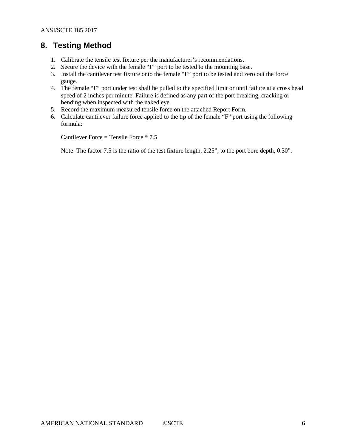### <span id="page-5-0"></span>**8. Testing Method**

- 1. Calibrate the tensile test fixture per the manufacturer's recommendations.
- 2. Secure the device with the female "F" port to be tested to the mounting base.
- 3. Install the cantilever test fixture onto the female "F" port to be tested and zero out the force gauge.
- 4. The female "F" port under test shall be pulled to the specified limit or until failure at a cross head speed of 2 inches per minute. Failure is defined as any part of the port breaking, cracking or bending when inspected with the naked eye.
- 5. Record the maximum measured tensile force on the attached Report Form.
- 6. Calculate cantilever failure force applied to the tip of the female "F" port using the following formula:

Cantilever Force = Tensile Force \* 7.5

Note: The factor 7.5 is the ratio of the test fixture length, 2.25", to the port bore depth, 0.30".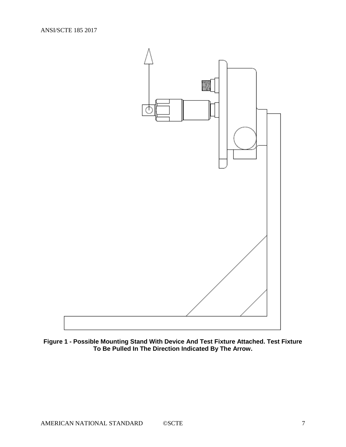

<span id="page-6-0"></span>**Figure 1 - Possible Mounting Stand With Device And Test Fixture Attached. Test Fixture To Be Pulled In The Direction Indicated By The Arrow.**